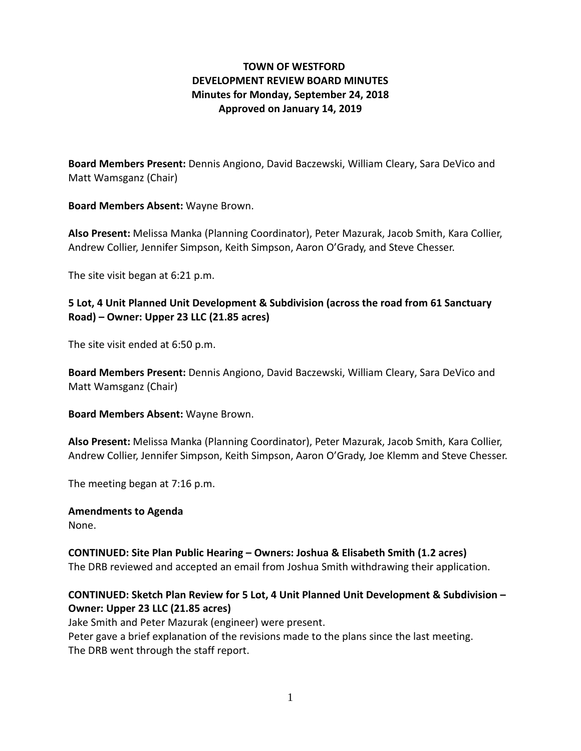## **TOWN OF WESTFORD DEVELOPMENT REVIEW BOARD MINUTES Minutes for Monday, September 24, 2018 Approved on January 14, 2019**

**Board Members Present:** Dennis Angiono, David Baczewski, William Cleary, Sara DeVico and Matt Wamsganz (Chair)

**Board Members Absent:** Wayne Brown.

**Also Present:** Melissa Manka (Planning Coordinator), Peter Mazurak, Jacob Smith, Kara Collier, Andrew Collier, Jennifer Simpson, Keith Simpson, Aaron O'Grady, and Steve Chesser.

The site visit began at 6:21 p.m.

### **5 Lot, 4 Unit Planned Unit Development & Subdivision (across the road from 61 Sanctuary Road) – Owner: Upper 23 LLC (21.85 acres)**

The site visit ended at 6:50 p.m.

**Board Members Present:** Dennis Angiono, David Baczewski, William Cleary, Sara DeVico and Matt Wamsganz (Chair)

**Board Members Absent:** Wayne Brown.

**Also Present:** Melissa Manka (Planning Coordinator), Peter Mazurak, Jacob Smith, Kara Collier, Andrew Collier, Jennifer Simpson, Keith Simpson, Aaron O'Grady, Joe Klemm and Steve Chesser.

The meeting began at 7:16 p.m.

### **Amendments to Agenda**

None.

**CONTINUED: Site Plan Public Hearing – Owners: Joshua & Elisabeth Smith (1.2 acres)**  The DRB reviewed and accepted an email from Joshua Smith withdrawing their application.

# **CONTINUED: Sketch Plan Review for 5 Lot, 4 Unit Planned Unit Development & Subdivision – Owner: Upper 23 LLC (21.85 acres)**

Jake Smith and Peter Mazurak (engineer) were present. Peter gave a brief explanation of the revisions made to the plans since the last meeting. The DRB went through the staff report.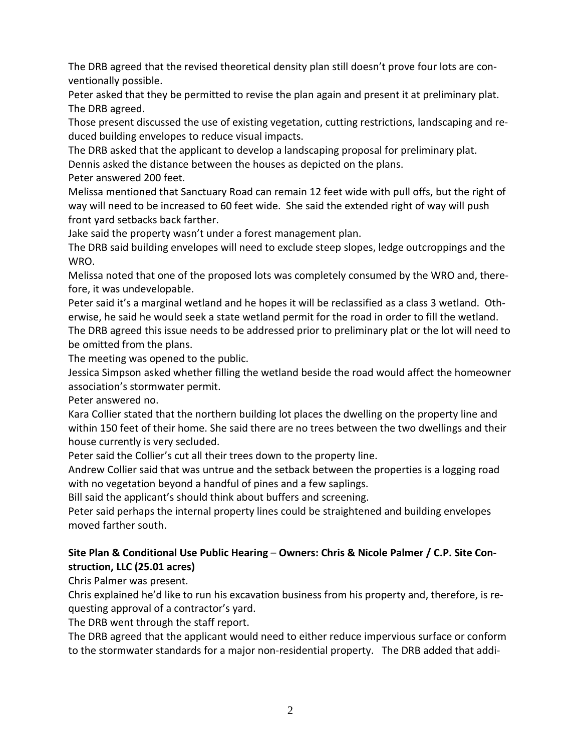The DRB agreed that the revised theoretical density plan still doesn't prove four lots are conventionally possible.

Peter asked that they be permitted to revise the plan again and present it at preliminary plat. The DRB agreed.

Those present discussed the use of existing vegetation, cutting restrictions, landscaping and reduced building envelopes to reduce visual impacts.

The DRB asked that the applicant to develop a landscaping proposal for preliminary plat.

Dennis asked the distance between the houses as depicted on the plans.

Peter answered 200 feet.

Melissa mentioned that Sanctuary Road can remain 12 feet wide with pull offs, but the right of way will need to be increased to 60 feet wide. She said the extended right of way will push front yard setbacks back farther.

Jake said the property wasn't under a forest management plan.

The DRB said building envelopes will need to exclude steep slopes, ledge outcroppings and the WRO.

Melissa noted that one of the proposed lots was completely consumed by the WRO and, therefore, it was undevelopable.

Peter said it's a marginal wetland and he hopes it will be reclassified as a class 3 wetland. Otherwise, he said he would seek a state wetland permit for the road in order to fill the wetland. The DRB agreed this issue needs to be addressed prior to preliminary plat or the lot will need to be omitted from the plans.

The meeting was opened to the public.

Jessica Simpson asked whether filling the wetland beside the road would affect the homeowner association's stormwater permit.

Peter answered no.

Kara Collier stated that the northern building lot places the dwelling on the property line and within 150 feet of their home. She said there are no trees between the two dwellings and their house currently is very secluded.

Peter said the Collier's cut all their trees down to the property line.

Andrew Collier said that was untrue and the setback between the properties is a logging road with no vegetation beyond a handful of pines and a few saplings.

Bill said the applicant's should think about buffers and screening.

Peter said perhaps the internal property lines could be straightened and building envelopes moved farther south.

# **Site Plan & Conditional Use Public Hearing** – **Owners: Chris & Nicole Palmer / C.P. Site Construction, LLC (25.01 acres)**

Chris Palmer was present.

Chris explained he'd like to run his excavation business from his property and, therefore, is requesting approval of a contractor's yard.

The DRB went through the staff report.

The DRB agreed that the applicant would need to either reduce impervious surface or conform to the stormwater standards for a major non-residential property. The DRB added that addi